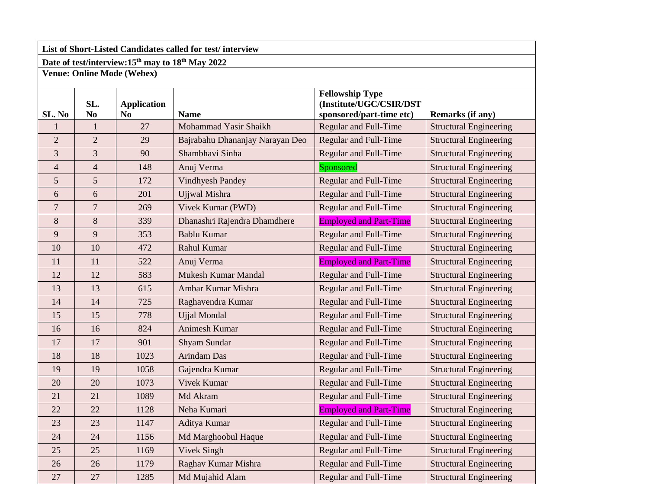## **List of Short-Listed Candidates called for test/ interview**

**Date of test/interview:15th may to 18th May 2022**

**Venue: Online Mode (Webex)**

| SL. No         | SL.<br>N <sub>0</sub> | <b>Application</b><br>N <sub>0</sub> | <b>Name</b>                     | <b>Fellowship Type</b><br>(Institute/UGC/CSIR/DST<br>sponsored/part-time etc) | Remarks (if any)              |
|----------------|-----------------------|--------------------------------------|---------------------------------|-------------------------------------------------------------------------------|-------------------------------|
| 1              | $\mathbf{1}$          | 27                                   | Mohammad Yasir Shaikh           | <b>Regular and Full-Time</b>                                                  | <b>Structural Engineering</b> |
| $\overline{2}$ | $\overline{2}$        | 29                                   | Bajrabahu Dhananjay Narayan Deo | <b>Regular and Full-Time</b>                                                  | <b>Structural Engineering</b> |
| 3              | 3                     | 90                                   | Shambhavi Sinha                 | Regular and Full-Time                                                         | <b>Structural Engineering</b> |
| $\overline{4}$ | $\overline{4}$        | 148                                  | Anuj Verma                      | Sponsored                                                                     | <b>Structural Engineering</b> |
| 5              | 5                     | 172                                  | <b>Vindhyesh Pandey</b>         | <b>Regular and Full-Time</b>                                                  | <b>Structural Engineering</b> |
| 6              | 6                     | 201                                  | Ujjwal Mishra                   | Regular and Full-Time                                                         | <b>Structural Engineering</b> |
| $\overline{7}$ | $\overline{7}$        | 269                                  | Vivek Kumar (PWD)               | Regular and Full-Time                                                         | <b>Structural Engineering</b> |
| 8              | $8\,$                 | 339                                  | Dhanashri Rajendra Dhamdhere    | <b>Employed and Part-Time</b>                                                 | <b>Structural Engineering</b> |
| 9              | 9                     | 353                                  | <b>Bablu Kumar</b>              | Regular and Full-Time                                                         | <b>Structural Engineering</b> |
| 10             | 10                    | 472                                  | Rahul Kumar                     | Regular and Full-Time                                                         | <b>Structural Engineering</b> |
| 11             | 11                    | 522                                  | Anuj Verma                      | <b>Employed and Part-Time</b>                                                 | <b>Structural Engineering</b> |
| 12             | 12                    | 583                                  | <b>Mukesh Kumar Mandal</b>      | <b>Regular and Full-Time</b>                                                  | <b>Structural Engineering</b> |
| 13             | 13                    | 615                                  | Ambar Kumar Mishra              | Regular and Full-Time                                                         | <b>Structural Engineering</b> |
| 14             | 14                    | 725                                  | Raghavendra Kumar               | Regular and Full-Time                                                         | <b>Structural Engineering</b> |
| 15             | 15                    | 778                                  | <b>Ujjal Mondal</b>             | Regular and Full-Time                                                         | <b>Structural Engineering</b> |
| 16             | 16                    | 824                                  | Animesh Kumar                   | Regular and Full-Time                                                         | <b>Structural Engineering</b> |
| 17             | 17                    | 901                                  | Shyam Sundar                    | Regular and Full-Time                                                         | <b>Structural Engineering</b> |
| 18             | 18                    | 1023                                 | <b>Arindam Das</b>              | Regular and Full-Time                                                         | <b>Structural Engineering</b> |
| 19             | 19                    | 1058                                 | Gajendra Kumar                  | Regular and Full-Time                                                         | <b>Structural Engineering</b> |
| 20             | 20                    | 1073                                 | <b>Vivek Kumar</b>              | Regular and Full-Time                                                         | <b>Structural Engineering</b> |
| 21             | 21                    | 1089                                 | Md Akram                        | <b>Regular and Full-Time</b>                                                  | <b>Structural Engineering</b> |
| 22             | 22                    | 1128                                 | Neha Kumari                     | <b>Employed and Part-Time</b>                                                 | <b>Structural Engineering</b> |
| 23             | 23                    | 1147                                 | Aditya Kumar                    | <b>Regular and Full-Time</b>                                                  | <b>Structural Engineering</b> |
| 24             | 24                    | 1156                                 | Md Marghoobul Haque             | Regular and Full-Time                                                         | <b>Structural Engineering</b> |
| 25             | 25                    | 1169                                 | Vivek Singh                     | Regular and Full-Time                                                         | <b>Structural Engineering</b> |
| 26             | 26                    | 1179                                 | Raghav Kumar Mishra             | Regular and Full-Time                                                         | <b>Structural Engineering</b> |
| 27             | 27                    | 1285                                 | Md Mujahid Alam                 | <b>Regular and Full-Time</b>                                                  | <b>Structural Engineering</b> |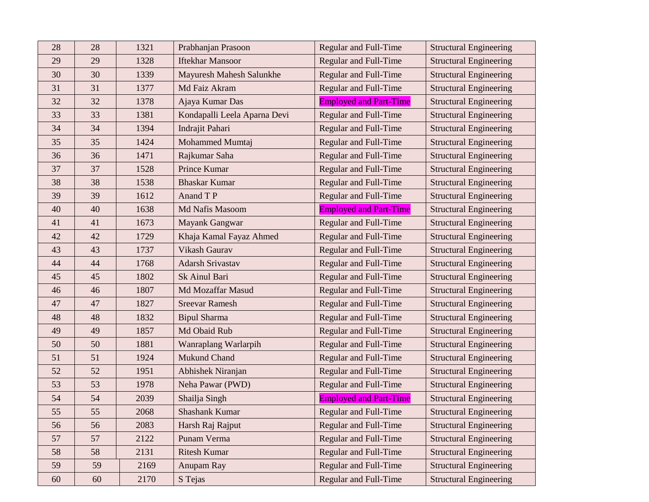| 28 | 28 | 1321 | Prabhanjan Prasoon              | <b>Regular and Full-Time</b>  | <b>Structural Engineering</b> |
|----|----|------|---------------------------------|-------------------------------|-------------------------------|
| 29 | 29 | 1328 | <b>Iftekhar Mansoor</b>         | <b>Regular and Full-Time</b>  | <b>Structural Engineering</b> |
| 30 | 30 | 1339 | <b>Mayuresh Mahesh Salunkhe</b> | <b>Regular and Full-Time</b>  | <b>Structural Engineering</b> |
| 31 | 31 | 1377 | Md Faiz Akram                   | <b>Regular and Full-Time</b>  | <b>Structural Engineering</b> |
| 32 | 32 | 1378 | Ajaya Kumar Das                 | <b>Employed and Part-Time</b> | <b>Structural Engineering</b> |
| 33 | 33 | 1381 | Kondapalli Leela Aparna Devi    | Regular and Full-Time         | <b>Structural Engineering</b> |
| 34 | 34 | 1394 | Indrajit Pahari                 | <b>Regular and Full-Time</b>  | <b>Structural Engineering</b> |
| 35 | 35 | 1424 | Mohammed Mumtaj                 | <b>Regular and Full-Time</b>  | <b>Structural Engineering</b> |
| 36 | 36 | 1471 | Rajkumar Saha                   | <b>Regular and Full-Time</b>  | <b>Structural Engineering</b> |
| 37 | 37 | 1528 | Prince Kumar                    | <b>Regular and Full-Time</b>  | <b>Structural Engineering</b> |
| 38 | 38 | 1538 | <b>Bhaskar Kumar</b>            | <b>Regular and Full-Time</b>  | <b>Structural Engineering</b> |
| 39 | 39 | 1612 | Anand T P                       | Regular and Full-Time         | <b>Structural Engineering</b> |
| 40 | 40 | 1638 | Md Nafis Masoom                 | <b>Employed and Part-Time</b> | <b>Structural Engineering</b> |
| 41 | 41 | 1673 | Mayank Gangwar                  | <b>Regular and Full-Time</b>  | <b>Structural Engineering</b> |
| 42 | 42 | 1729 | Khaja Kamal Fayaz Ahmed         | <b>Regular and Full-Time</b>  | <b>Structural Engineering</b> |
| 43 | 43 | 1737 | Vikash Gaurav                   | Regular and Full-Time         | <b>Structural Engineering</b> |
| 44 | 44 | 1768 | <b>Adarsh Srivastav</b>         | <b>Regular and Full-Time</b>  | <b>Structural Engineering</b> |
| 45 | 45 | 1802 | Sk Ainul Bari                   | <b>Regular and Full-Time</b>  | <b>Structural Engineering</b> |
| 46 | 46 | 1807 | Md Mozaffar Masud               | <b>Regular and Full-Time</b>  | <b>Structural Engineering</b> |
| 47 | 47 | 1827 | <b>Sreevar Ramesh</b>           | <b>Regular and Full-Time</b>  | <b>Structural Engineering</b> |
| 48 | 48 | 1832 | <b>Bipul Sharma</b>             | <b>Regular and Full-Time</b>  | <b>Structural Engineering</b> |
| 49 | 49 | 1857 | Md Obaid Rub                    | <b>Regular and Full-Time</b>  | <b>Structural Engineering</b> |
| 50 | 50 | 1881 | Wanraplang Warlarpih            | <b>Regular and Full-Time</b>  | <b>Structural Engineering</b> |
| 51 | 51 | 1924 | <b>Mukund Chand</b>             | <b>Regular and Full-Time</b>  | <b>Structural Engineering</b> |
| 52 | 52 | 1951 | Abhishek Niranjan               | <b>Regular and Full-Time</b>  | <b>Structural Engineering</b> |
| 53 | 53 | 1978 | Neha Pawar (PWD)                | <b>Regular and Full-Time</b>  | <b>Structural Engineering</b> |
| 54 | 54 | 2039 | Shailja Singh                   | <b>Employed and Part-Time</b> | <b>Structural Engineering</b> |
| 55 | 55 | 2068 | <b>Shashank Kumar</b>           | <b>Regular and Full-Time</b>  | <b>Structural Engineering</b> |
| 56 | 56 | 2083 | Harsh Raj Rajput                | <b>Regular and Full-Time</b>  | <b>Structural Engineering</b> |
| 57 | 57 | 2122 | Punam Verma                     | Regular and Full-Time         | <b>Structural Engineering</b> |
| 58 | 58 | 2131 | <b>Ritesh Kumar</b>             | Regular and Full-Time         | <b>Structural Engineering</b> |
| 59 | 59 | 2169 | Anupam Ray                      | Regular and Full-Time         | <b>Structural Engineering</b> |
| 60 | 60 | 2170 | S Tejas                         | Regular and Full-Time         | <b>Structural Engineering</b> |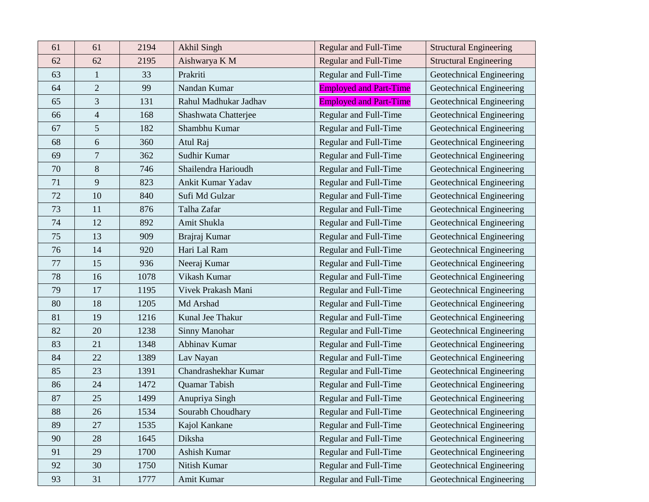| 61 | 61             | 2194 | <b>Akhil Singh</b>    | <b>Regular and Full-Time</b>  | <b>Structural Engineering</b> |
|----|----------------|------|-----------------------|-------------------------------|-------------------------------|
| 62 | 62             | 2195 | Aishwarya K M         | <b>Regular and Full-Time</b>  | <b>Structural Engineering</b> |
| 63 | $\mathbf{1}$   | 33   | Prakriti              | Regular and Full-Time         | Geotechnical Engineering      |
| 64 | $\overline{2}$ | 99   | Nandan Kumar          | <b>Employed and Part-Time</b> | Geotechnical Engineering      |
| 65 | 3              | 131  | Rahul Madhukar Jadhav | <b>Employed and Part-Time</b> | Geotechnical Engineering      |
| 66 | $\overline{4}$ | 168  | Shashwata Chatterjee  | Regular and Full-Time         | Geotechnical Engineering      |
| 67 | 5              | 182  | Shambhu Kumar         | Regular and Full-Time         | Geotechnical Engineering      |
| 68 | 6              | 360  | Atul Raj              | Regular and Full-Time         | Geotechnical Engineering      |
| 69 | $\overline{7}$ | 362  | Sudhir Kumar          | Regular and Full-Time         | Geotechnical Engineering      |
| 70 | $8\,$          | 746  | Shailendra Harioudh   | Regular and Full-Time         | Geotechnical Engineering      |
| 71 | 9              | 823  | Ankit Kumar Yadav     | Regular and Full-Time         | Geotechnical Engineering      |
| 72 | 10             | 840  | Sufi Md Gulzar        | Regular and Full-Time         | Geotechnical Engineering      |
| 73 | 11             | 876  | Talha Zafar           | Regular and Full-Time         | Geotechnical Engineering      |
| 74 | 12             | 892  | Amit Shukla           | Regular and Full-Time         | Geotechnical Engineering      |
| 75 | 13             | 909  | Brajraj Kumar         | <b>Regular and Full-Time</b>  | Geotechnical Engineering      |
| 76 | 14             | 920  | Hari Lal Ram          | Regular and Full-Time         | Geotechnical Engineering      |
| 77 | 15             | 936  | Neeraj Kumar          | Regular and Full-Time         | Geotechnical Engineering      |
| 78 | 16             | 1078 | Vikash Kumar          | Regular and Full-Time         | Geotechnical Engineering      |
| 79 | 17             | 1195 | Vivek Prakash Mani    | Regular and Full-Time         | Geotechnical Engineering      |
| 80 | 18             | 1205 | Md Arshad             | Regular and Full-Time         | Geotechnical Engineering      |
| 81 | 19             | 1216 | Kunal Jee Thakur      | Regular and Full-Time         | Geotechnical Engineering      |
| 82 | 20             | 1238 | Sinny Manohar         | Regular and Full-Time         | Geotechnical Engineering      |
| 83 | 21             | 1348 | Abhinav Kumar         | Regular and Full-Time         | Geotechnical Engineering      |
| 84 | 22             | 1389 | Lav Nayan             | Regular and Full-Time         | Geotechnical Engineering      |
| 85 | 23             | 1391 | Chandrashekhar Kumar  | Regular and Full-Time         | Geotechnical Engineering      |
| 86 | 24             | 1472 | Quamar Tabish         | Regular and Full-Time         | Geotechnical Engineering      |
| 87 | 25             | 1499 | Anupriya Singh        | Regular and Full-Time         | Geotechnical Engineering      |
| 88 | 26             | 1534 | Sourabh Choudhary     | Regular and Full-Time         | Geotechnical Engineering      |
| 89 | 27             | 1535 | Kajol Kankane         | Regular and Full-Time         | Geotechnical Engineering      |
| 90 | 28             | 1645 | Diksha                | Regular and Full-Time         | Geotechnical Engineering      |
| 91 | 29             | 1700 | Ashish Kumar          | Regular and Full-Time         | Geotechnical Engineering      |
| 92 | 30             | 1750 | Nitish Kumar          | Regular and Full-Time         | Geotechnical Engineering      |
| 93 | 31             | 1777 | Amit Kumar            | Regular and Full-Time         | Geotechnical Engineering      |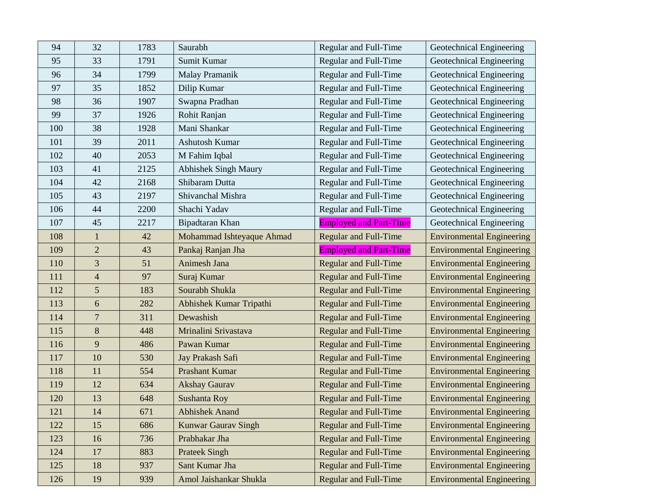| 94  | 32             | 1783 | Saurabh                     | Regular and Full-Time         | Geotechnical Engineering         |
|-----|----------------|------|-----------------------------|-------------------------------|----------------------------------|
| 95  | 33             | 1791 | Sumit Kumar                 | Regular and Full-Time         | Geotechnical Engineering         |
| 96  | 34             | 1799 | Malay Pramanik              | Regular and Full-Time         | Geotechnical Engineering         |
| 97  | 35             | 1852 | Dilip Kumar                 | Regular and Full-Time         | Geotechnical Engineering         |
| 98  | 36             | 1907 | Swapna Pradhan              | Regular and Full-Time         | Geotechnical Engineering         |
| 99  | 37             | 1926 | Rohit Ranjan                | Regular and Full-Time         | Geotechnical Engineering         |
| 100 | 38             | 1928 | Mani Shankar                | Regular and Full-Time         | Geotechnical Engineering         |
| 101 | 39             | 2011 | Ashutosh Kumar              | Regular and Full-Time         | Geotechnical Engineering         |
| 102 | 40             | 2053 | M Fahim Iqbal               | Regular and Full-Time         | Geotechnical Engineering         |
| 103 | 41             | 2125 | <b>Abhishek Singh Maury</b> | Regular and Full-Time         | Geotechnical Engineering         |
| 104 | 42             | 2168 | Shibaram Dutta              | Regular and Full-Time         | Geotechnical Engineering         |
| 105 | 43             | 2197 | Shivanchal Mishra           | Regular and Full-Time         | Geotechnical Engineering         |
| 106 | 44             | 2200 | Shachi Yadav                | Regular and Full-Time         | Geotechnical Engineering         |
| 107 | 45             | 2217 | Bipadtaran Khan             | <b>Employed and Part-Time</b> | Geotechnical Engineering         |
| 108 | $\mathbf{1}$   | 42   | Mohammad Ishteyaque Ahmad   | <b>Regular and Full-Time</b>  | <b>Environmental Engineering</b> |
| 109 | $\overline{2}$ | 43   | Pankaj Ranjan Jha           | <b>Employed and Part-Time</b> | <b>Environmental Engineering</b> |
| 110 | 3              | 51   | Animesh Jana                | <b>Regular and Full-Time</b>  | <b>Environmental Engineering</b> |
| 111 | $\overline{4}$ | 97   | Suraj Kumar                 | <b>Regular and Full-Time</b>  | <b>Environmental Engineering</b> |
| 112 | 5              | 183  | Sourabh Shukla              | <b>Regular and Full-Time</b>  | <b>Environmental Engineering</b> |
| 113 | 6              | 282  | Abhishek Kumar Tripathi     | <b>Regular and Full-Time</b>  | <b>Environmental Engineering</b> |
| 114 | $\overline{7}$ | 311  | Dewashish                   | <b>Regular and Full-Time</b>  | <b>Environmental Engineering</b> |
| 115 | $8\,$          | 448  | Mrinalini Srivastava        | <b>Regular and Full-Time</b>  | <b>Environmental Engineering</b> |
| 116 | 9              | 486  | Pawan Kumar                 | <b>Regular and Full-Time</b>  | <b>Environmental Engineering</b> |
| 117 | 10             | 530  | Jay Prakash Safi            | <b>Regular and Full-Time</b>  | <b>Environmental Engineering</b> |
| 118 | 11             | 554  | <b>Prashant Kumar</b>       | <b>Regular and Full-Time</b>  | <b>Environmental Engineering</b> |
| 119 | 12             | 634  | <b>Akshay Gaurav</b>        | <b>Regular and Full-Time</b>  | <b>Environmental Engineering</b> |
| 120 | 13             | 648  | Sushanta Roy                | <b>Regular and Full-Time</b>  | <b>Environmental Engineering</b> |
| 121 | 14             | 671  | <b>Abhishek Anand</b>       | <b>Regular and Full-Time</b>  | <b>Environmental Engineering</b> |
| 122 | 15             | 686  | <b>Kunwar Gaurav Singh</b>  | <b>Regular and Full-Time</b>  | <b>Environmental Engineering</b> |
| 123 | 16             | 736  | Prabhakar Jha               | <b>Regular and Full-Time</b>  | <b>Environmental Engineering</b> |
| 124 | 17             | 883  | <b>Prateek Singh</b>        | <b>Regular and Full-Time</b>  | <b>Environmental Engineering</b> |
| 125 | 18             | 937  | Sant Kumar Jha              | <b>Regular and Full-Time</b>  | <b>Environmental Engineering</b> |
| 126 | 19             | 939  | Amol Jaishankar Shukla      | <b>Regular and Full-Time</b>  | <b>Environmental Engineering</b> |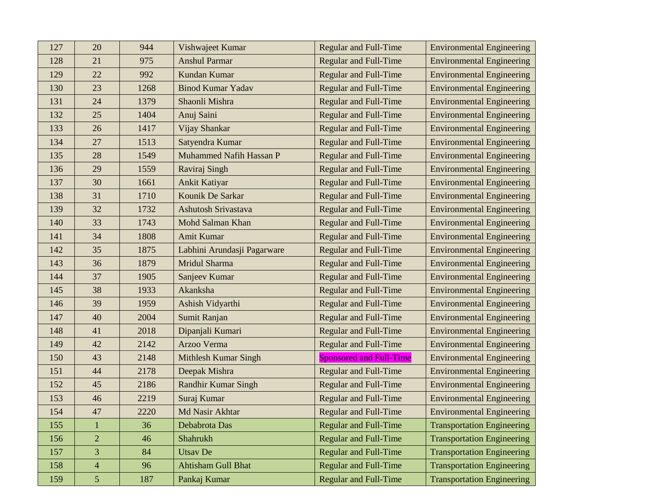| 127 | 20             | 944  | Vishwajeet Kumar            | <b>Regular and Full-Time</b>   | <b>Environmental Engineering</b>  |
|-----|----------------|------|-----------------------------|--------------------------------|-----------------------------------|
| 128 | 21             | 975  | <b>Anshul Parmar</b>        | <b>Regular and Full-Time</b>   | <b>Environmental Engineering</b>  |
| 129 | 22             | 992  | Kundan Kumar                | <b>Regular and Full-Time</b>   | <b>Environmental Engineering</b>  |
| 130 | 23             | 1268 | <b>Binod Kumar Yadav</b>    | <b>Regular and Full-Time</b>   | <b>Environmental Engineering</b>  |
| 131 | 24             | 1379 | Shaonli Mishra              | <b>Regular and Full-Time</b>   | <b>Environmental Engineering</b>  |
| 132 | 25             | 1404 | Anuj Saini                  | <b>Regular and Full-Time</b>   | <b>Environmental Engineering</b>  |
| 133 | 26             | 1417 | Vijay Shankar               | <b>Regular and Full-Time</b>   | <b>Environmental Engineering</b>  |
| 134 | 27             | 1513 | Satyendra Kumar             | <b>Regular and Full-Time</b>   | <b>Environmental Engineering</b>  |
| 135 | 28             | 1549 | Muhammed Nafih Hassan P     | <b>Regular and Full-Time</b>   | <b>Environmental Engineering</b>  |
| 136 | 29             | 1559 | Raviraj Singh               | <b>Regular and Full-Time</b>   | <b>Environmental Engineering</b>  |
| 137 | 30             | 1661 | Ankit Katiyar               | <b>Regular and Full-Time</b>   | <b>Environmental Engineering</b>  |
| 138 | 31             | 1710 | Kounik De Sarkar            | <b>Regular and Full-Time</b>   | <b>Environmental Engineering</b>  |
| 139 | 32             | 1732 | <b>Ashutosh Srivastava</b>  | <b>Regular and Full-Time</b>   | <b>Environmental Engineering</b>  |
| 140 | 33             | 1743 | Mohd Salman Khan            | <b>Regular and Full-Time</b>   | <b>Environmental Engineering</b>  |
| 141 | 34             | 1808 | Amit Kumar                  | <b>Regular and Full-Time</b>   | <b>Environmental Engineering</b>  |
| 142 | 35             | 1875 | Labhini Arundasji Pagarware | Regular and Full-Time          | <b>Environmental Engineering</b>  |
| 143 | 36             | 1879 | Mridul Sharma               | <b>Regular and Full-Time</b>   | <b>Environmental Engineering</b>  |
| 144 | 37             | 1905 | Sanjeev Kumar               | <b>Regular and Full-Time</b>   | <b>Environmental Engineering</b>  |
| 145 | 38             | 1933 | Akanksha                    | <b>Regular and Full-Time</b>   | <b>Environmental Engineering</b>  |
| 146 | 39             | 1959 | Ashish Vidyarthi            | <b>Regular and Full-Time</b>   | <b>Environmental Engineering</b>  |
| 147 | 40             | 2004 | Sumit Ranjan                | <b>Regular and Full-Time</b>   | <b>Environmental Engineering</b>  |
| 148 | 41             | 2018 | Dipanjali Kumari            | <b>Regular and Full-Time</b>   | <b>Environmental Engineering</b>  |
| 149 | 42             | 2142 | Arzoo Verma                 | <b>Regular and Full-Time</b>   | <b>Environmental Engineering</b>  |
| 150 | 43             | 2148 | Mithlesh Kumar Singh        | <b>Sponsored and Full-Time</b> | <b>Environmental Engineering</b>  |
| 151 | 44             | 2178 | Deepak Mishra               | <b>Regular and Full-Time</b>   | <b>Environmental Engineering</b>  |
| 152 | 45             | 2186 | <b>Randhir Kumar Singh</b>  | <b>Regular and Full-Time</b>   | <b>Environmental Engineering</b>  |
| 153 | 46             | 2219 | Suraj Kumar                 | <b>Regular and Full-Time</b>   | <b>Environmental Engineering</b>  |
| 154 | 47             | 2220 | Md Nasir Akhtar             | <b>Regular and Full-Time</b>   | <b>Environmental Engineering</b>  |
| 155 | 1              | 36   | Debabrota Das               | <b>Regular and Full-Time</b>   | <b>Transportation Engineering</b> |
| 156 | $\overline{2}$ | 46   | Shahrukh                    | <b>Regular and Full-Time</b>   | <b>Transportation Engineering</b> |
| 157 | 3              | 84   | <b>Utsav De</b>             | <b>Regular and Full-Time</b>   | <b>Transportation Engineering</b> |
| 158 | $\overline{4}$ | 96   | <b>Ahtisham Gull Bhat</b>   | <b>Regular and Full-Time</b>   | <b>Transportation Engineering</b> |
| 159 | $\overline{5}$ | 187  | Pankaj Kumar                | <b>Regular and Full-Time</b>   | <b>Transportation Engineering</b> |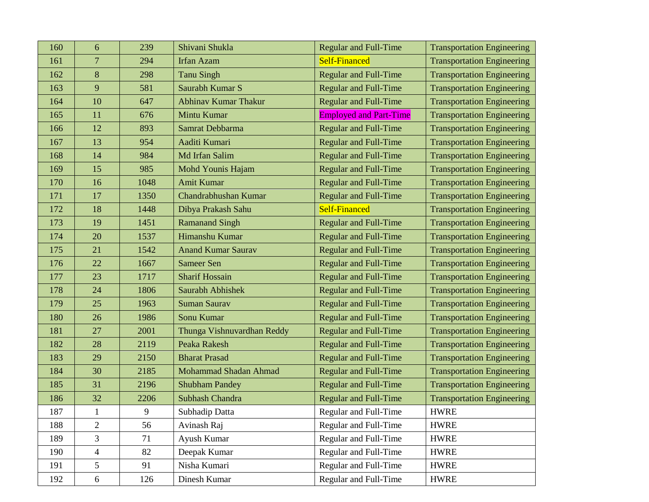| 160 | 6                | 239  | Shivani Shukla              | <b>Regular and Full-Time</b>  | <b>Transportation Engineering</b> |
|-----|------------------|------|-----------------------------|-------------------------------|-----------------------------------|
| 161 | $\overline{7}$   | 294  | <b>Irfan Azam</b>           | Self-Financed                 | <b>Transportation Engineering</b> |
| 162 | 8                | 298  | <b>Tanu Singh</b>           | <b>Regular and Full-Time</b>  | <b>Transportation Engineering</b> |
| 163 | 9                | 581  | Saurabh Kumar S             | <b>Regular and Full-Time</b>  | <b>Transportation Engineering</b> |
| 164 | 10               | 647  | <b>Abhinav Kumar Thakur</b> | <b>Regular and Full-Time</b>  | <b>Transportation Engineering</b> |
| 165 | 11               | 676  | Mintu Kumar                 | <b>Employed and Part-Time</b> | <b>Transportation Engineering</b> |
| 166 | 12               | 893  | Samrat Debbarma             | <b>Regular and Full-Time</b>  | <b>Transportation Engineering</b> |
| 167 | 13               | 954  | Aaditi Kumari               | <b>Regular and Full-Time</b>  | <b>Transportation Engineering</b> |
| 168 | 14               | 984  | Md Irfan Salim              | <b>Regular and Full-Time</b>  | <b>Transportation Engineering</b> |
| 169 | 15               | 985  | Mohd Younis Hajam           | <b>Regular and Full-Time</b>  | <b>Transportation Engineering</b> |
| 170 | 16               | 1048 | <b>Amit Kumar</b>           | <b>Regular and Full-Time</b>  | <b>Transportation Engineering</b> |
| 171 | 17               | 1350 | Chandrabhushan Kumar        | Regular and Full-Time         | <b>Transportation Engineering</b> |
| 172 | 18               | 1448 | Dibya Prakash Sahu          | Self-Financed                 | <b>Transportation Engineering</b> |
| 173 | 19               | 1451 | <b>Ramanand Singh</b>       | <b>Regular and Full-Time</b>  | <b>Transportation Engineering</b> |
| 174 | 20               | 1537 | Himanshu Kumar              | <b>Regular and Full-Time</b>  | <b>Transportation Engineering</b> |
| 175 | 21               | 1542 | <b>Anand Kumar Saurav</b>   | <b>Regular and Full-Time</b>  | <b>Transportation Engineering</b> |
| 176 | 22               | 1667 | <b>Sameer Sen</b>           | <b>Regular and Full-Time</b>  | <b>Transportation Engineering</b> |
| 177 | 23               | 1717 | <b>Sharif Hossain</b>       | <b>Regular and Full-Time</b>  | <b>Transportation Engineering</b> |
| 178 | 24               | 1806 | Saurabh Abhishek            | <b>Regular and Full-Time</b>  | <b>Transportation Engineering</b> |
| 179 | 25               | 1963 | <b>Suman Saurav</b>         | Regular and Full-Time         | <b>Transportation Engineering</b> |
| 180 | 26               | 1986 | Sonu Kumar                  | <b>Regular and Full-Time</b>  | <b>Transportation Engineering</b> |
| 181 | 27               | 2001 | Thunga Vishnuvardhan Reddy  | <b>Regular and Full-Time</b>  | <b>Transportation Engineering</b> |
| 182 | 28               | 2119 | Peaka Rakesh                | <b>Regular and Full-Time</b>  | <b>Transportation Engineering</b> |
| 183 | 29               | 2150 | <b>Bharat Prasad</b>        | Regular and Full-Time         | <b>Transportation Engineering</b> |
| 184 | 30               | 2185 | Mohammad Shadan Ahmad       | <b>Regular and Full-Time</b>  | <b>Transportation Engineering</b> |
| 185 | 31               | 2196 | <b>Shubham Pandey</b>       | <b>Regular and Full-Time</b>  | <b>Transportation Engineering</b> |
| 186 | 32               | 2206 | Subhash Chandra             | <b>Regular and Full-Time</b>  | <b>Transportation Engineering</b> |
| 187 | $\mathbf{1}$     | 9    | Subhadip Datta              | Regular and Full-Time         | <b>HWRE</b>                       |
| 188 | 2                | 56   | Avinash Raj                 | Regular and Full-Time         | <b>HWRE</b>                       |
| 189 | $\overline{3}$   | 71   | Ayush Kumar                 | Regular and Full-Time         | <b>HWRE</b>                       |
| 190 | $\overline{4}$   | 82   | Deepak Kumar                | Regular and Full-Time         | <b>HWRE</b>                       |
| 191 | 5                | 91   | Nisha Kumari                | Regular and Full-Time         | <b>HWRE</b>                       |
| 192 | $\boldsymbol{6}$ | 126  | Dinesh Kumar                | Regular and Full-Time         | <b>HWRE</b>                       |